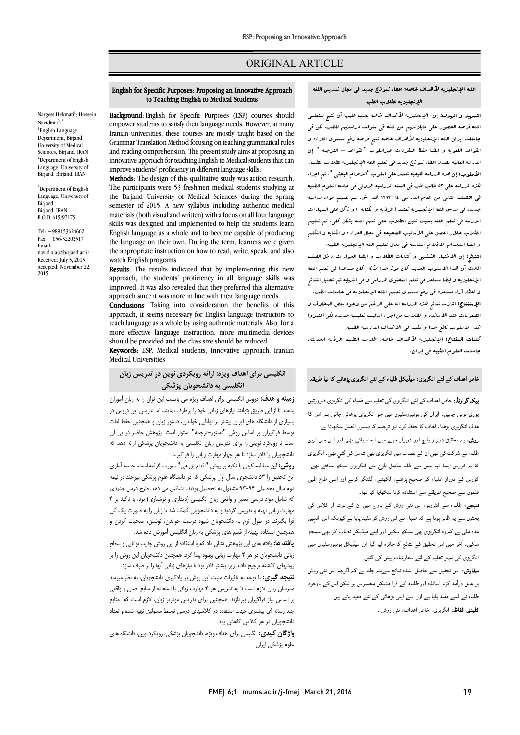# ORIGINAL ARTICLE

# English for Specific Purposes: Proposing an Innovative Approach to Teaching English to Medical Students

Ī 

Nargess Hekmati<sup>1</sup>; Hossein Navidinia $^{2}$ <sup>1</sup>English Language Department, Birjand University of Medical Sciences, Birjand, IRAN <sup>2</sup>Department of English Language, University of Birjand, Birjand, IRAN

\* Department of English Language, University of Birjand Birjand, IRAN P.O.B. 615/97175

Tel: +989153624662 Fax: +056-32202517 Email: navidinia@birjand.ac.ir Received: July 5, 2015 Accepted: November 22, 2015

**Background:** English for Specific Purposes (ESP) courses should Iranian universities, these courses are mostly taught based on the Grammar Translation Method focusing on teaching grammatical rules innovative approach for teaching English to Medical students that can improve students' proficiency in different language skills. empower students to satisfy their language needs. However, at many and reading comprehension. The present study aims at proposing an

**Methods**: The design of this qualitative study was action research.<br>The participants were 53 freshmen medical students studying at the Birjand University of Medical Sciences during the spring semester of 2015. A new syllabus including authentic medical skills was designed and implemented to help the students learn English language as a whole and to become capable of producing the language on their own. During the term, learners were given<br>the appropriate instruction on how to read, write, speak, and also Methods: The design of this qualitative study was action research. materials (both visual and written) with a focus on all four language the language on their own. During the term, learners were given watch English programs.

 Results: The results indicated that by implementing this new improved. It was also revealed that they preferred this alternative approach since it was more in line with their language needs. approach, the students' proficiency in all language skills was

**Conclusions:** Taking this consideration the benefits of this approach, it seems necessary for English language instructors to teach language as a whole by using authentic materials. Also, for a more effective language instruction, more multimedia devices Conclusions: Taking into consideration the benefits of this should be provided and the class size should be reduced.

**Keywords:** ESP, Medical students, Innovative approach, Iranian Medical Universities

# **انگلیسی براي اهداف ویژه: ارائه رویکردي نوین در تدریس زبان انگلیسی به دانشجویان پزشکی**

 **زمینه و هدف:** دروس انگلیسی براي اهداف ویژه می بایست این توان را به زبان آموزان بدهند تا از این طریق بتوانند نیازهاي زبانی خود را برطرف نمایند. اما تدریس این دروس در بسیاري از دانشگاه هاي ایران بیشتر بر توانایی خواندن، دستور زبان و همچنین حفظ لغات توسط فراگیران بر اساس روش "دستور-ترجمه" استوار است. پژوهش حاضر در پی آن ست ۶ رویترد تویمی ر<sub>ا</sub> برای تدریس ربان استیسی به دست<br>دانشجویان را قادر سازد تا هر چهار مهارت زبانی را فراگیرند. است تا رویکرد نوینی را براي تدریس زبان انگلیسی به دانشجویان پزشکی ارائه دهد که

 **روش:** این مطالعه کیفی با تکیه بر روش "اقدام پژوهی" صورت گرفته است. جامعه آماري . .<br>این تحقیق را ۵۳ دانشجوی سال اول پزشکی که در دانشگاه علوم پزشکی بیرجند در نیمه دوم سال تحصیلی 93-94 مشغول به تحصیل بودند، تشکیل می دهد. طرح درس جدیدي که شامل مواد درسی معتبر و واقعی زبان انگلیسی (دیداري و نوشتاري) بود، با تاکید بر 4 مهارت زبانی تهیه و تدریس گردید و به دانشجویان کمک شد تا زبان را به صورت یک کل فرا بگیرند. در طول ترم به دانشجویان شیوه درست خواندن، نوشتن، صحبت کردن و همچنین استفاده بهینه از فیلم هاي پزشکی به زبان انگلیسی آموزش داده شد.

<del>یعت پختین استفاده</del> بهبید از عینم عنی پرستی به ربین اص<u>لیسی</u> امورس عامه عسد<br>**یافته ها:** یافته های این پژوهش نشان داد که با استفاده از این روش جدید، توانایی و سطح زبانی دانشجویان در هر 4 مهارت زبانی بهبود پیدا کرد. همچنین دانشجویان این روش را بر روشهاي گذشته ترجیح دادند زیرا بیشتر قادر بود تا نیازهاي زبانی آنها را بر طرف سازد.

 **نتیجه گیري:** با توجه به تاثیرات مثبت این روش بر یادگیري دانشجویان، به نظر میرسد مدرسان زبان لازم است تا به تدریس هر 4 مهارت زبانی با استفاده از منابع اصلی و واقعی بر اساس نیاز فراگیران بپردازند. همچنین براي تدریس موثرتر زبان، لازم است که منابع چند رسانه اي بیشتري جهت استفاده در کلاسهاي درسی توسط مسولین تهیه شده و تعداد دانشجویان در هر کلاس کاهش یابد.

ŗ **واژگان کلیدي:** انگلیسی براي اهداف ویژه، دانشجویان پزشکی، رویکرد نوین، دانشگاه هاي علوم پزشکی ایران

## اللغه الإنجلیزیه لأهداف خاصه: اعطاء نموذج جدید فی مجال تدریس اللغه الإنجلیزیه لطلاب الطب

Ī 

**لتسهید و الهدف:** إن الإنجلیزیه لأهداف خاصه یجب علیها أن تتیح لمتعلمی<br>. اللغه فرصه الحصول علی مایلزمهم من اللغه فی سنوات دراستهم للطب. لکن فی بدصات ایران است. بچنببیویه و سدات عباسه علیج مرحله و سر مسلوب اصرارا و<br>القواعد اللغویه و ایضا حفظ البفردات عبراسلوب "القواعد – الترجمه " إن الدراسه العالیه بصدد اعطاء نموذج جدید فی تعلم اللغه الإنجلیزیه لطلاب الطب. الاسلوب: إن هذه الدراسه الکیفیه تعتمد علی اسلوب "الاقدام البحثی ". تم اجراء<br>**الأسلوب:** إن هذه الدراسه الکیفیه تعتمد علی اسلوب "الاقدام البحثی ". تم اجراء هذه الدراسه علی 53 طالب طب فی السنه الدراسیه الاولی فی جامعه العلوم الطبیه فی النصف الثانی من العام الدراسی 1393-94 هد. ش. تم تعمیم مواد دراسیه جدیده فی درس اللغه الإنجلیزیه تعتمد (الرؤیه و الکتابه ) و تأکل علی المهارات الاربعه فی تعلم اللغه بحیث تعین الطلاب علی تعلم اللغه بشکل کلی. تم تعلیم الطلاب خلال الفصل علی الاسالیب الصحیحه فی مجال القراء ه و الکتابه و التکلم و ایضا استخدام الافلام المناسبه فی مجال تعلیم اللغه الإنجلیزیه الطبیه. جامعات ایران اللغه الإنجلیزیه لأهداف خاصه تتیح فرصه رفع مستوي القراءه و

 النتائج: إن الاختبار الشفهی و کتابات الطلاب و ایضا الحوارات داخل الصف افادت أن هذا الاسلوب الجدید کان موثرجدا لأنه کان مساعدا فی تعلم اللغه الإنجلیزیه و ایضا مساعد فی تعلم المحتوي الدراسی و فی النهایه تم تحلیل النتائج و اعطاء آراء مساعده فی رفع مستوى تعلیم اللغه الإنجلیزیه فی جامعات الطب.<br>. الیستین، اس ساتی عند الدراسات علی الرسم عن رجود بستی استدری ر<br>الصعوبات عند الاساتذه و الطلاب من اجراء اسالیب تعلیمیه جدیده لکن اعتبروا هذا الاسلوب نافع جدا و مفید فی الاهداف الدارسیه الطبیه. کلمات المفتاح: الإنجلیزیه لأهداف خاصه، طلاب الطب، الرؤیه الحدیثه، جامعات العلوم الطبیه فی ایران. الإستنتاج: اشارت نتائج هذه الدراسه انه علی الرغم من وجود بعض المخاوف و

# $\overline{1}$ فاص اهداف کے لئے انگریزی: میڈیکل طلباء کے لئے انگریزی پڑھانے کا نیا طریقہ<br>۔

**یک گراونڈ:** خاص اهداف کے لئے انگریزی کی تعلیم سے طلباء کی انگریزی ضرورتیں ۔<br>بوری ہونی چاہیں۔ ایران کی یونیورسٹیوں میں جو انگریزی پڑھائی جاتی ہے اس کا ۔<br>ہدف انگزیری پڑھنا، لغات کا حفظ کرنا نیز ترجمہ کا دستور العمل سکھانا ہے۔ ر**وش:** یہ تحقیق دوپزار پانچ اور دوہزآر چھے میں انجام پائی تھی اور اس میں ترپن ۔<br>طلباء نے شرکت کی تھی ان کے نصاب میں انگریزی بھی شامل کی گئي تھی۔ انگریزی ۔<br>کا یہ کورس ایسا تھا جس سے طلبا مکمل طرح سے انگریزی سیکھ سکتے تھے۔ ۔<br>کورس کے دوران طلباء کو صحیح پڑھنے، لکھنے، گفتگو کرنے اور اسی طرح طبی ے ۔<br>فلموں سے صحیح طریقے سے استفادہ کرنا سکھایا گیا تھا۔

 : ء او، اس روش رے ان ٹ ار س ں ء اس روش اس ا د وہ ای اور ا ب  $\overline{\phantom{a}}$ سکیں۔ آخر میں اس تحقیق کے نتائج کا جائزہ لیا گیا اور میڈیکل یونیورسٹیوں میں<br>مصری

انگریزی کی بہتر تعلیم کے لئے سفارشات پیش کی گئیں۔<br>۔ Ī <sub>ب</sub>ر عمل درآمد کرنا اساتذہ اور طلباء کے ذرا مشکل محسوس ہو لیکن اس کے باوجود<br>۔ ظلباء نے اسے مفید پایا ہے اور اسے اپنی پڑھائي کے لئے مفید پاتے ہیں۔<br>۔ **کلیدی الفاظ:** انگریزی، خاص اهداف، نئي روش ۔<br>-**سفارش:** اس تحقیق سے حاصل شدہ نتائج سےپتہ چلتا ہے کہ اگرچہ اس نئی روش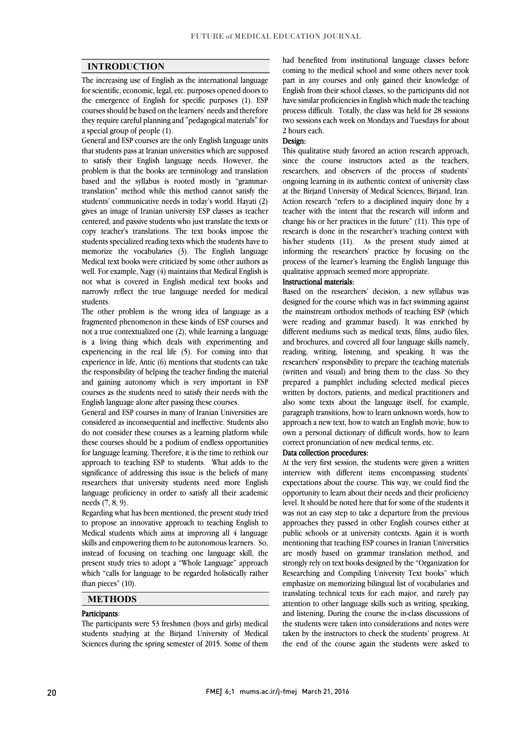$\overline{a}$  $\overline{a}$ 

# **INTRODUCTION**

 The increasing use of English as the international language for scientific, economic, legal, etc. purposes opened doors to courses should be based on the learners' needs and therefore they require careful planning and "pedagogical materials" for the emergence of English for specific purposes (1). ESP a special group of people (1).

 General and ESP courses are the only English language units to satisfy their English language needs. However, the problem is that the books are terminology and translation based and the syllabus is rooted mostly in "grammar- students' communicative needs in today's world. Hayati (2) gives an image of Iranian university ESP classes as teacher centered, and passive students who just translate the texts or copy teacher's translations. The text books impose the students specialized reading texts which the students have to<br>mean of the specialized (2). The English Janguary Medical text books were criticized by some other authors as well. For example, Nagy (4) maintains that Medical English is not what is covered in English medical text books and narrowly reflect the true language needed for medical that students pass at Iranian universities which are supposed translation" method while this method cannot satisfy the memorize the vocabularies (3). The English language students.

 The other problem is the wrong idea of language as a fragmented phenomenon in these kinds of ESP courses and not a true contextualized one (2), while learning a language experiencing in the real life (5). For coming into that experience in life, Antic (6) mentions that students can take the responsibility of helping the teacher finding the material and gaining autonomy which is very important in ESP courses as the students need to satisfy their needs with the<br>English language alone after passing these courses is a living thing which deals with experimenting and English language alone after passing these courses.

 General and ESP courses in many of Iranian Universities are considered as inconsequential and ineffective. Students also do not consider these courses as a learning platform while for language learning. Therefore, it is the time to rethink our approach to teaching ESP to students. What adds to the significance of addressing this issue is the beliefs of many researchers that university students fieed more english<br>language proficiency in order to satisfy all their academic these courses should be a podium of endless opportunities researchers that university students need more English needs (7, 8, 9).

 Regarding what has been mentioned, the present study tried to propose an innovative approach to teaching English to skills and empowering them to be autonomous learners. So, instead of focusing on teaching one language skill, the present study tries to adopt a "Whole Language" approach which "calls for language to be regarded holistically rather  $\overline{\phantom{0}}$ Medical students which aims at improving all 4 language than pieces" (10).

# **METHODS**

#### Participants:

 The participants were 53 freshmen (boys and girls) medical Sciences during the spring semester of 2015. Some of them students studying at the Birjand University of Medical

 coming to the medical school and some others never took part in any courses and only gained their knowledge of English from their school classes, so the participants did not process difficult. Totally, the class was held for 28 sessions two sessions each week on Mondays and Tuesdays for about had benefited from institutional language classes before have similar proficiencies in English which made the teaching 2 hours each.

# Design:

 This qualitative study favored an action research approach, since the course instructors acted as the teachers, researchers, and observers of the process of students' ongoing learning in its authentic context of university class at the birjand University of Medical Sciences, birjand, fran.<br>Action research "refers to a disciplined inquiry done by a teacher with the intent that the research will inform and change his or her practices in the future" (11). This type of research is done in the researcher's teaching context with informing the researchers' practice by focusing on the process of the learner's learning the English language this at the Birjand University of Medical Sciences, Birjand, Iran. his/her students (11). As the present study aimed at qualitative approach seemed more appropriate.

#### Instructional materials:

**instructional materials:**<br>Based on the researchers' decision, a new syllabus was based on the researchers decision, a new synables was designed for the course which was in fact swimming against the mainstream orthodox methods of teaching ESP (which were reading and grammar based). It was enriched by different mediums such as medical texts, films, audio files, reading, writing, listening, and speaking. It was the researchers' responsibility to prepare the teaching materials (written and visual) and bring them to the class. So they prepared a pampmet including selected inedical pieces<br>written by doctors, patients, and medical practitioners and also some texts about the language itself, for example, paragraph transitions, how to learn unknown words, how to approach a new text, how to watch an English movie, how to own a personal dictionary of difficult words, how to learn and brochures, and covered all four language skills namely, prepared a pamphlet including selected medical pieces correct pronunciation of new medical terms, etc.

#### Data collection procedures:

 At the very first session, the students were given a written interview with different items encompassing students' opportunity to learn about their needs and their proficiency level. It should be noted here that for some of the students it was not an easy step to take a departure from the previous approaches they passed in other English courses either at mentioning that teaching ESP courses in Iranian Universities are mostly based on grammar translation method, and strongly rely on text books designed by the "Organization for Researching and Compiling University Text books" which translating technical texts for each major, and rarely pay attention to other language skills such as writing, speaking, and listening. During the course the in-class discussions of the students were taken into considerations and notes were the end of the course again the students were asked to expectations about the course. This way, we could find the public schools or at university contexts. Again it is worth emphasize on memorizing bilingual list of vocabularies and taken by the instructors to check the students' progress. At

 $\overline{a}$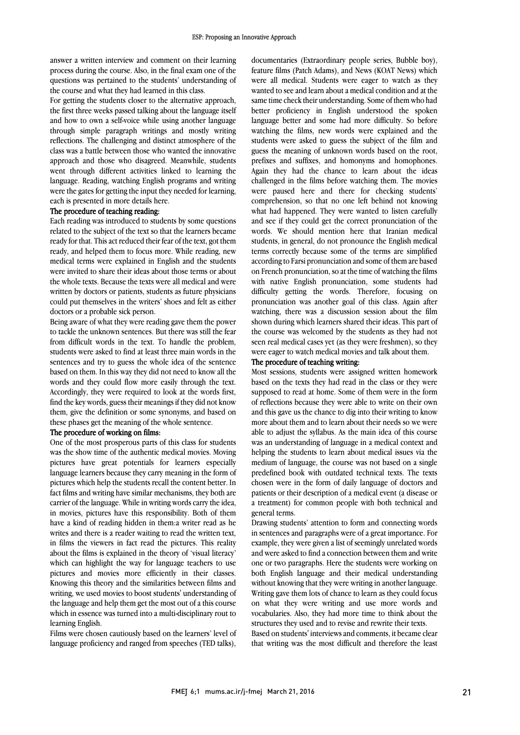answer a written interview and comment on their learning process during the course. Also, in the final exam one of the questions was pertained to the students' understanding of the course and what they had learned in this class.

the course and what they had learned in this class.<br>For getting the students closer to the alternative approach, the first three weeks passed talking about the language itself and how to own a self-voice while using another language through simple paragraph writings and mostly writing reflections. The challenging and distinct atmosphere of the approach and those who disagreed. Meanwhile, students went through different activities linked to learning the language. Reading, watching English programs and writing were the gates for getting the input they needed for learning, class was a battle between those who wanted the innovative each is presented in more details here.

# The procedure of teaching reading:

 Each reading was introduced to students by some questions related to the subject of the text so that the learners became ready, and helped them to focus more. While reading, new medical terms were explained in English and the students were invited to share their ideas about those terms or about the whole texts. Because the texts were all medical and were could put themselves in the writers' shoes and felt as either ready for that. This act reduced their fear of the text, got them written by doctors or patients, students as future physicians doctors or a probable sick person.

 Being aware of what they were reading gave them the power to tackle the unknown sentences. But there was still the tear<br>from difficult words in the text. To handle the problem, students were asked to find at least three main words in the sentences and try to guess the whole idea of the sentence based on them. In this way they did not need to know all the words and they could flow more easily through the text. find the key words, guess their meanings if they did not know them, give the definition or some synonyms, and based on to tackle the unknown sentences. But there was still the fear Accordingly, they were required to look at the words first, these phases get the meaning of the whole sentence.

#### The procedure of working on films:

Ine procedure of working on nims:<br>One of the most prosperous parts of this class for students was the show time of the authentic medical movies. Moving pictures have great potentials for learners especially language learners because they carry meaning in the form of fact films and writing have similar mechanisms, they both are carrier of the language. While in writing words carry the idea, in movies, pictures have this responsibility. Both of them have a kind of reading hidden in them:a writer read as he whites and there is a reader wanting to read the whiteh text, in films the viewers in fact read the pictures. This reality about the films is explained in the theory of 'visual literacy' which can highlight the way for language teachers to use pictures and movies more efficiently in their classes. writing, we used movies to boost students' understanding of the language and help them get the most out of a this course which in essence was turned into a multi-disciplinary rout to pictures which help the students recall the content better. In writes and there is a reader waiting to read the written text, Knowing this theory and the similarities between films and learning English.

 Films were chosen cautiously based on the learners' level of language proficiency and ranged from speeches (TED talks),

 documentaries (Extraordinary people series, Bubble boy), feature films (Patch Adams), and News (KOAT News) which were all medical. Students were eager to watch as they wanted to see and learn about a medical condition and at the better proficiency in English understood the spoken watching the films, new words were explained and the statents were asked to guess the subject of the finit and<br>guess the meaning of unknown words based on the root, prefixes and suffixes, and homonyms and homophones. Again they had the chance to learn about the ideas challenged in the films before watching them. The movies comprehension, so that no one left behind not knowing what had happened. They were wanted to listen carefully and see if they could get the correct pronunciation of the words. We should mention here that Iranian medical terms correctly because some of the terms are simplified according to Farsi pronunciation and some of them are based on French pronunciation, so at the time of watching the films with native English pronunciation, some students had pronunciation was another goal of this class. Again after watching, there was a discussion session about the film shown during which learners shared their ideas. This part of the course was welcomed by the students as they had not seen real medical cases yet (as they were freshmen), so they<br>were eager to watch medical movies and talk about them same time check their understanding. Some of them who had language better and some had more difficulty. So before students were asked to guess the subject of the film and were paused here and there for checking students' students, in general, do not pronounce the English medical difficulty getting the words. Therefore, focusing on were eager to watch medical movies and talk about them.

## The procedure of teaching writing:

 Most sessions, students were assigned written homework based on the texts they had read in the class of they were<br>supposed to read at home. Some of them were in the form of reflections because they were able to write on their own and this gave us the chance to dig into their writing to know more about them and to learn about their needs so we were able to adjust the synabus. As the main idea of this course<br>was an understanding of language in a medical context and helping the students to learn about medical issues via the medium of language, the course was not based on a single predefined book with outdated technical texts. The texts patients or their description of a medical event (a disease or a treatment) for common people with both technical and based on the texts they had read in the class or they were able to adjust the syllabus. As the main idea of this course chosen were in the form of daily language of doctors and general terms.

 Drawing students' attention to form and connecting words example, they were given a list of seemingly unrelated words and were asked to find a connection between them and write one or two paragraphs. Here the students were working on both English language and their medical understanding Writing gave them lots of chance to learn as they could focus on what they were writing and use more words and vocabularies. Also, they had more time to think about the structures they used and to revise and rewrite their texts.<br>Based on students' interviews and comments, it became clear that writing was the most difficult and therefore the least in sentences and paragraphs were of a great importance. For without knowing that they were writing in another language. structures they used and to revise and rewrite their texts.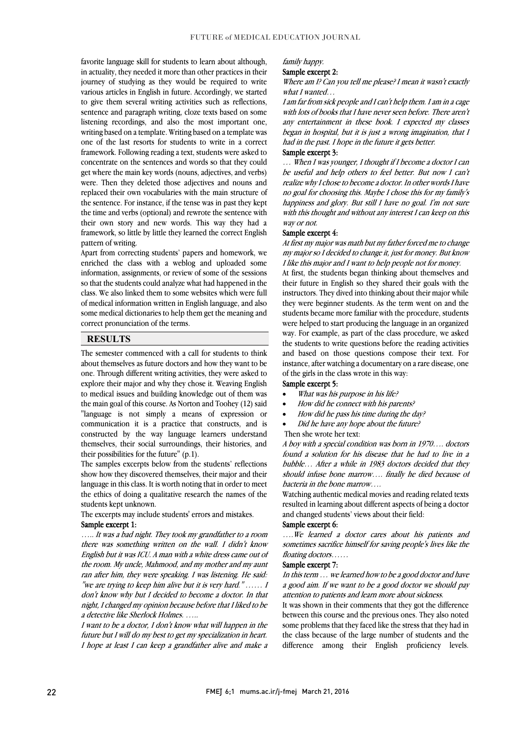favorite language skill for students to learn about although, in actuality, they needed it more than other practices in their journey of studying as they would be required to write various articles in English in future. Accordingly, we started to give them several writing activities such as reflections, listening recordings, and also the most important one, writing based on a template. Writing based on a template was one of the last resorts for students to write in a correct concentrate on the sentences and words so that they could get where the main key words (nouns, adjectives, and verbs) were. Then they deleted those adjectives and nouns and replaced their own vocabularies with the main structure of the time and verbs (optional) and rewrote the sentence with their own story and new words. This way they had a framework, so little by little they learned the correct English sentence and paragraph writing, cloze texts based on some framework. Following reading a text, students were asked to the sentence. For instance, if the tense was in past they kept pattern of writing.

pattern ot writing.<br>Apart from correcting students' papers and homework, we enriched the class with a weblog and uploaded some information, assignments, or review of some of the sessions so that the students could analyze what had happened in the class. We also linked them to some websites which were full some medical dictionaries to help them get the meaning and of medical information written in English language, and also correct pronunciation of the terms.

# **RESULTS**

 The semester commenced with a call for students to think about themselves as future doctors and how they want to be one. Through different writing activities, they were asked to explore their major and why they chose it. Weaving English to medical issues and building knowledge out of them was<br>the main goal of this course, As Natten and Teaher (12) said. "language is not simply a means of expression or communication it is a practice that constructs, and is constructed by the way language learners understand themselves, their social surroundings, their histories, and<br>their possibilities for the future<sup>"</sup> (a.1) the main goal of this course. As Norton and Toohey (12) said their possibilities for the future" (p.1).

 The samples excerpts below from the students' reflections show how they discovered themselves, their major and their language in this class. It is worth noting that in order to meet the ethics of doing a qualitative research the names of the<br>students kent unknown students kept unknown.

The excerpts may include students' errors and mistakes.

# Sample excerpt 1:

 ….. It was a bad night. They took my grandfather to a room English but it was ICU. A man with a white dress came out of the room. My uncle, Mahmood, and my mother and my aunt ran after him, they were speaking. I was listening. He said: "we are trying to keep him alive but it is very hard." …… I night, I changed my opinion because before that I liked to be there was something written on the wall. I didn't know don't know why but I decided to become a doctor. In that a detective like Sherlock Holmes. …..

 I want to be a doctor, I don't know what will happen in the I hope at least I can keep a grandfather alive and make a future but I will do my best to get my specialization in heart.

#### family happy.

## Sample excerpt 2:

Where am I? Can you tell me please? I mean it wasn't exactly what I wanted...

 I am far from sick people and I can't help them. I am in a cage any entertainment in these book. I expected my classes began in hospital, but it is just a wrong imagination, that I with lots of books that I have never seen before. There aren't had in the past. I hope in the future it gets better.

## Sample excerpt 3:

sample excelpt 3:<br>... When I was younger, I thought if I become a doctor I can be useful and help others to feel better. But now I can't realize why I chose to become a doctor. In other words I have no goal for choosing this. Maybe I chose this for my family's rapplies and giory. But sun I have no goal. This not sure<br>with this thought and without any interest I can keep on this happiness and glory. But still I have no goal. I'm not sure way or not.

#### Sample excerpt 4:

 At first my major was math but my father forced me to change my major so I decided to change it, just for money. But know<br>I like this major and I want to help people not for money I like this major and I want to help people not for money.

 At first, the students began thinking about themselves and their future in English so they shared their goals with the instructors. They dived into thinking about their major while students became more familiar with the procedure, students were helped to start producing the language in an organized way. For example, as part of the class procedure, we asked and based on those questions compose their text. For instance, after watching a documentary on a rare disease, one they were beginner students. As the term went on and the the students to write questions before the reading activities of the girls in the class wrote in this way:

#### Sample excerpt 5:

Ī

- What was his purpose in his life?
- How did he connect with his parents?
- How did he pass his time during the day?
- Did he have any hope about the future?
- Then she wrote her text:

 found a solution for his disease that he had to live in a bubble… After a while in 1983 doctors decided that they should infuse bone marrow…. finally he died because of A boy with a special condition was born in 1970…. doctors bacteria in the bone marrow….

*bacteria in the bone marrow....*<br>Watching authentic medical movies and reading related texts resulted in learning about different aspects of being a doctor and changed students' views about their field:

#### Sample excerpt 6:

 ….We learned a doctor cares about his patients and sometimes sacrifice himself for saving people's lives like the floating doctors……

#### Sample excerpt 7:

 In this term … we learned how to be a good doctor and have a good aim. If we want to be a good doctor we should pay attention to patients and learn more about sickness.

It was shown in their comments that they got the difference between this course and the previous ones. They also noted some problems that they faced like the stress that they had in difference among their English proficiency levels. the class because of the large number of students and the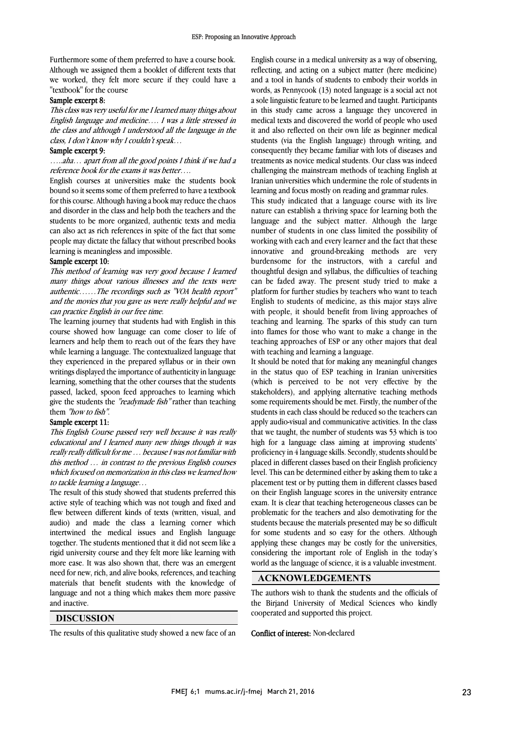Furthermore some of them preferred to have a course book. Although we assigned them a booklet of different texts that we worked, they felt more secure if they could have a "textbook" for the course

#### Sample excerpt 8:

 This class was very useful for me I learned many things about English language and medicine…. I was a little stressed in the class and although I understood all the language in the class, I don't know why I couldn't speak…

## Sample excerpt 9:

 …..aha… apart from all the good points I think if we had a reference book for the exams it was better….

 English courses at universities make the students book for this course. Although having a book may reduce the chaos and disorder in the class and help both the teachers and the students to be more organized, authentic texts and media can also act as rich references in spite of the fact that some people may dictate the fallacy that without prescribed books<br>learning is meaningless and impossible bound so it seems some of them preferred to have a textbook learning is meaningless and impossible.

#### Sample excerpt 10:

 This method of learning was very good because I learned many things about various illnesses and the texts were and the movies that you gave us were really helpful and we authentic……The recordings such as "VOA health report" can practice English in our free time.

 The learning journey that students had with English in this course showed how language can come closer to life of while learning a language. The contextualized language that they experienced in the prepared syllabus or in their own writings displayed the importance of authenticity in language learning, something that the other courses that the students give the students the "readymade fish" rather than teaching learners and help them to reach out of the fears they have passed, lacked, spoon feed approaches to learning which them "how to fish".

## Sample excerpt 11:

 This English Course passed very well because it was really really really difficult for me … because I was not familiar with this method … in contrast to the previous English courses which focused on memorization in this class we learned how educational and I learned many new things though it was to tackle learning a language…

to tackle rearing a language...<br>The result of this study showed that students preferred this active style of teaching which was not tough and fixed and flew between different kinds of texts (written, visual, and audio) and made the class a learning corner which together. The students mentioned that it did not seem like a rigid university course and they felt more like learning with more ease. It was also shown that, there was an emergent need for new, rich, and alive books, references, and teaching language and not a thing which makes them more passive intertwined the medical issues and English language materials that benefit students with the knowledge of and inactive.

# **DISCUSSION**

Ī The results of this qualitative study showed a new face of an  English course in a medical university as a way of observing, reflecting, and acting on a subject matter (here medicine) and a tool in hands of students to embody their worlds in words, as Pennycook (13) noted language is a social act not in this study came across a language they uncovered in medical texts and discovered the world of people who used it and also reflected on their own life as beginner medical students (via the English language) through writing, and<br>consequently they became familiar with lots of diseases and treatments as novice medical students. Our class was indeed challenging the mainstream methods of teaching English at Iranian universities which undermine the role of students in a sole linguistic feature to be learned and taught. Participants students (via the English language) through writing, and learning and focus mostly on reading and grammar rules.

rearning and focus mostly on reading and grammar rules.<br>This study indicated that a language course with its live nature can establish a thriving space for learning both the language and the subject matter. Although the large number of students in one class limited the possibility of innovative and ground-breaking methods are very burdensome for the instructors, with a careful and thoughtful design and syllabus, the difficulties of teaching can be faded away. The present study tried to make a English to students of medicine, as this major stays alive with people, it should benefit from living approaches of teaching and learning. The sparks of this study can turn into flames for those who want to make a change in the teaching approaches of ESP or any other majors that deal<br>with teaching and learning a language working with each and every learner and the fact that these platform for further studies by teachers who want to teach with teaching and learning a language.

 It should be noted that for making any meaningful changes in the status quo of ESP teaching in Iranian universities (which is perceived to be not very effective by the sumeholder, that applying and that containing methods some requirements should be met. Firstly, the number of the students in each class should be reduced so the teachers can apply audio-visual and communicative activities. In the class that we taught, the number of students was 53 which is too proficiency in 4 language skills. Secondly, students should be placed in different classes based on their English proficiency level. This can be determined either by asking them to take a on their English language scores in the university entrance exam. It is clear that teaching heterogeneous classes can be problematic for the teachers and also demotivating for the students because the materials presented may be so difficult applying these changes may be costly for the universities, considering the important role of English in the today's world as the language of science, it is a valuable investment. stakeholders), and applying alternative teaching methods high for a language class aiming at improving students' placement test or by putting them in different classes based for some students and so easy for the others. Although

## **ACKNOWLEDGEMENTS**

 The authors wish to thank the students and the officials of the Birjand University of Medical Sciences who kindly cooperated and supported this project.

#### Conflict of interest: Non-declared

Ī